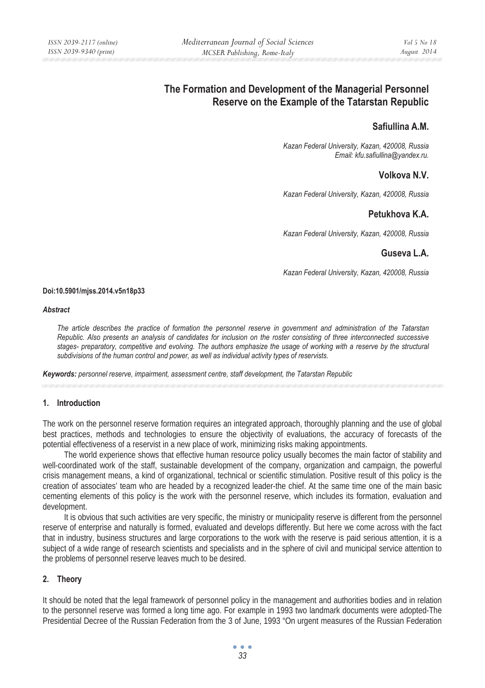# **The Formation and Development of the Managerial Personnel Reserve on the Example of the Tatarstan Republic**

# **Safiullina A.M.**

*Kazan Federal University, Kazan, 420008, Russia Email: kfu.safiullina@yandex.ru.* 

# **Volkova N.V.**

*Kazan Federal University, Kazan, 420008, Russia* 

# **Petukhova K.A.**

*Kazan Federal University, Kazan, 420008, Russia* 

### **Guseva L.A.**

*Kazan Federal University, Kazan, 420008, Russia* 

#### **Doi:10.5901/mjss.2014.v5n18p33**

#### *Abstract*

*The article describes the practice of formation the personnel reserve in government and administration of the Tatarstan Republic. Also presents an analysis of candidates for inclusion on the roster consisting of three interconnected successive stages- preparatory, competitive and evolving. The authors emphasize the usage of working with a reserve by the structural subdivisions of the human control and power, as well as individual activity types of reservists.* 

*Keywords: personnel reserve, impairment, assessment centre, staff development, the Tatarstan Republic*

### **1. Introduction**

The work on the personnel reserve formation requires an integrated approach, thoroughly planning and the use of global best practices, methods and technologies to ensure the objectivity of evaluations, the accuracy of forecasts of the potential effectiveness of a reservist in a new place of work, minimizing risks making appointments.

The world experience shows that effective human resource policy usually becomes the main factor of stability and well-coordinated work of the staff, sustainable development of the company, organization and campaign, the powerful crisis management means, a kind of organizational, technical or scientific stimulation. Positive result of this policy is the creation of associates' team who are headed by a recognized leader-the chief. At the same time one of the main basic cementing elements of this policy is the work with the personnel reserve, which includes its formation, evaluation and development.

It is obvious that such activities are very specific, the ministry or municipality reserve is different from the personnel reserve of enterprise and naturally is formed, evaluated and develops differently. But here we come across with the fact that in industry, business structures and large corporations to the work with the reserve is paid serious attention, it is a subject of a wide range of research scientists and specialists and in the sphere of civil and municipal service attention to the problems of personnel reserve leaves much to be desired.

#### **2. Theory**

It should be noted that the legal framework of personnel policy in the management and authorities bodies and in relation to the personnel reserve was formed a long time ago. For example in 1993 two landmark documents were adopted-The Presidential Decree of the Russian Federation from the 3 of June, 1993 "On urgent measures of the Russian Federation

> $\bullet$   $\bullet$   $\bullet$ *33*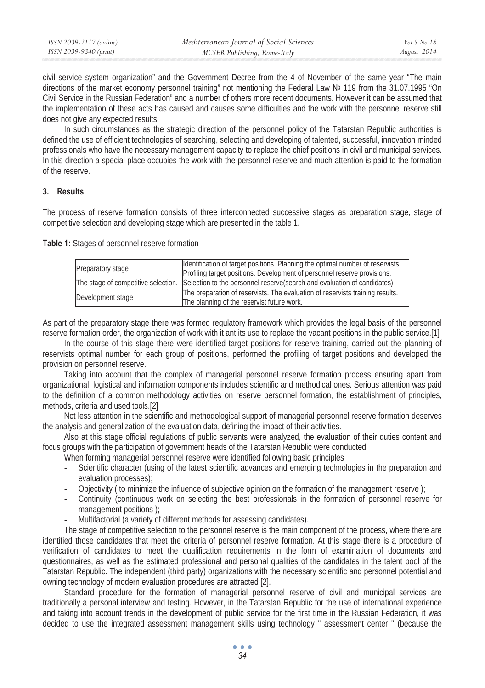| ISSN 2039-2117 (online) | Mediterranean Journal of Social Sciences | Vol 5 No 18 |
|-------------------------|------------------------------------------|-------------|
| ISSN 2039-9340 (print)  | MCSER Publishing, Rome-Italy             | August 2014 |

civil service system organization" and the Government Decree from the 4 of November of the same year "The main directions of the market economy personnel training" not mentioning the Federal Law № 119 from the 31.07.1995 "On Civil Service in the Russian Federation" and a number of others more recent documents. However it can be assumed that the implementation of these acts has caused and causes some difficulties and the work with the personnel reserve still does not give any expected results.

In such circumstances as the strategic direction of the personnel policy of the Tatarstan Republic authorities is defined the use of efficient technologies of searching, selecting and developing of talented, successful, innovation minded professionals who have the necessary management capacity to replace the chief positions in civil and municipal services. In this direction a special place occupies the work with the personnel reserve and much attention is paid to the formation of the reserve.

### **3. Results**

The process of reserve formation consists of three interconnected successive stages as preparation stage, stage of competitive selection and developing stage which are presented in the table 1.

**Table 1:** Stages of personnel reserve formation

| Preparatory stage | Identification of target positions. Planning the optimal number of reservists.<br>Profiling target positions. Development of personnel reserve provisions. |  |
|-------------------|------------------------------------------------------------------------------------------------------------------------------------------------------------|--|
|                   | The stage of competitive selection. Selection to the personnel reserve (search and evaluation of candidates)                                               |  |
| Development stage | The preparation of reservists. The evaluation of reservists training results.<br>The planning of the reservist future work.                                |  |

As part of the preparatory stage there was formed regulatory framework which provides the legal basis of the personnel reserve formation order, the organization of work with it ant its use to replace the vacant positions in the public service.[1]

In the course of this stage there were identified target positions for reserve training, carried out the planning of reservists optimal number for each group of positions, performed the profiling of target positions and developed the provision on personnel reserve.

Taking into account that the complex of managerial personnel reserve formation process ensuring apart from organizational, logistical and information components includes scientific and methodical ones. Serious attention was paid to the definition of a common methodology activities on reserve personnel formation, the establishment of principles, methods, criteria and used tools.[2]

Not less attention in the scientific and methodological support of managerial personnel reserve formation deserves the analysis and generalization of the evaluation data, defining the impact of their activities.

Also at this stage official regulations of public servants were analyzed, the evaluation of their duties content and focus groups with the participation of government heads of the Tatarstan Republic were conducted

When forming managerial personnel reserve were identified following basic principles

- Scientific character (using of the latest scientific advances and emerging technologies in the preparation and evaluation processes);
- Objectivity ( to minimize the influence of subjective opinion on the formation of the management reserve );
- Continuity (continuous work on selecting the best professionals in the formation of personnel reserve for management positions );
- Multifactorial (a variety of different methods for assessing candidates).

The stage of competitive selection to the personnel reserve is the main component of the process, where there are identified those candidates that meet the criteria of personnel reserve formation. At this stage there is a procedure of verification of candidates to meet the qualification requirements in the form of examination of documents and questionnaires, as well as the estimated professional and personal qualities of the candidates in the talent pool of the Tatarstan Republic. The independent (third party) organizations with the necessary scientific and personnel potential and owning technology of modern evaluation procedures are attracted [2].

Standard procedure for the formation of managerial personnel reserve of civil and municipal services are traditionally a personal interview and testing. However, in the Tatarstan Republic for the use of international experience and taking into account trends in the development of public service for the first time in the Russian Federation, it was decided to use the integrated assessment management skills using technology " assessment center " (because the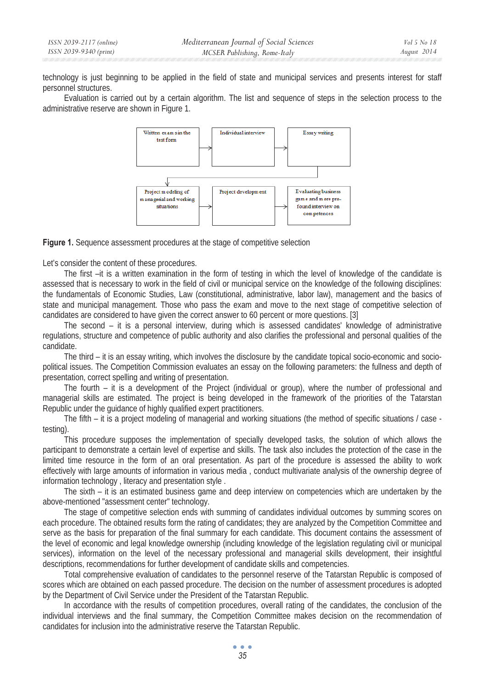technology is just beginning to be applied in the field of state and municipal services and presents interest for staff personnel structures.

Evaluation is carried out by a certain algorithm. The list and sequence of steps in the selection process to the administrative reserve are shown in Figure 1.



**Figure 1.** Sequence assessment procedures at the stage of competitive selection

Let's consider the content of these procedures.

The first –it is a written examination in the form of testing in which the level of knowledge of the candidate is assessed that is necessary to work in the field of civil or municipal service on the knowledge of the following disciplines: the fundamentals of Economic Studies, Law (constitutional, administrative, labor law), management and the basics of state and municipal management. Those who pass the exam and move to the next stage of competitive selection of candidates are considered to have given the correct answer to 60 percent or more questions. [3]

The second – it is a personal interview, during which is assessed candidates' knowledge of administrative regulations, structure and competence of public authority and also clarifies the professional and personal qualities of the candidate.

The third – it is an essay writing, which involves the disclosure by the candidate topical socio-economic and sociopolitical issues. The Competition Commission evaluates an essay on the following parameters: the fullness and depth of presentation, correct spelling and writing of presentation.

The fourth – it is a development of the Project (individual or group), where the number of professional and managerial skills are estimated. The project is being developed in the framework of the priorities of the Tatarstan Republic under the guidance of highly qualified expert practitioners.

The fifth – it is a project modeling of managerial and working situations (the method of specific situations / case testing).

This procedure supposes the implementation of specially developed tasks, the solution of which allows the participant to demonstrate a certain level of expertise and skills. The task also includes the protection of the case in the limited time resource in the form of an oral presentation. As part of the procedure is assessed the ability to work effectively with large amounts of information in various media , conduct multivariate analysis of the ownership degree of information technology , literacy and presentation style .

The sixth – it is an estimated business game and deep interview on competencies which are undertaken by the above-mentioned "assessment center" technology.

The stage of competitive selection ends with summing of candidates individual outcomes by summing scores on each procedure. The obtained results form the rating of candidates; they are analyzed by the Competition Committee and serve as the basis for preparation of the final summary for each candidate. This document contains the assessment of the level of economic and legal knowledge ownership (including knowledge of the legislation regulating civil or municipal services), information on the level of the necessary professional and managerial skills development, their insightful descriptions, recommendations for further development of candidate skills and competencies.

Total comprehensive evaluation of candidates to the personnel reserve of the Tatarstan Republic is composed of scores which are obtained on each passed procedure. The decision on the number of assessment procedures is adopted by the Department of Civil Service under the President of the Tatarstan Republic.

In accordance with the results of competition procedures, overall rating of the candidates, the conclusion of the individual interviews and the final summary, the Competition Committee makes decision on the recommendation of candidates for inclusion into the administrative reserve the Tatarstan Republic.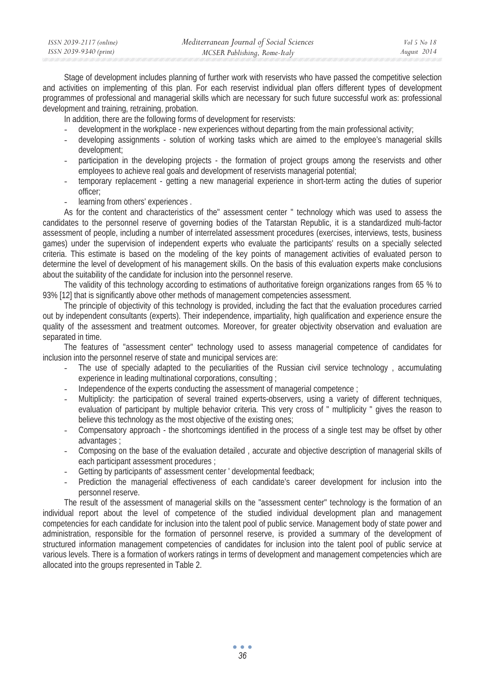| ISSN 2039-2117 (online) | Mediterranean Journal of Social Sciences | Vol 5 No 18 |
|-------------------------|------------------------------------------|-------------|
| ISSN 2039-9340 (print)  | MCSER Publishing, Rome-Italy             | August 2014 |
|                         |                                          |             |

Stage of development includes planning of further work with reservists who have passed the competitive selection and activities on implementing of this plan. For each reservist individual plan offers different types of development programmes of professional and managerial skills which are necessary for such future successful work as: professional development and training, retraining, probation.

In addition, there are the following forms of development for reservists:

- development in the workplace new experiences without departing from the main professional activity;
- developing assignments solution of working tasks which are aimed to the employee's managerial skills development;
- participation in the developing projects the formation of project groups among the reservists and other employees to achieve real goals and development of reservists managerial potential;
- temporary replacement getting a new managerial experience in short-term acting the duties of superior officer;
- learning from others' experiences.

As for the content and characteristics of the" assessment center " technology which was used to assess the candidates to the personnel reserve of governing bodies of the Tatarstan Republic, it is a standardized multi-factor assessment of people, including a number of interrelated assessment procedures (exercises, interviews, tests, business games) under the supervision of independent experts who evaluate the participants' results on a specially selected criteria. This estimate is based on the modeling of the key points of management activities of evaluated person to determine the level of development of his management skills. On the basis of this evaluation experts make conclusions about the suitability of the candidate for inclusion into the personnel reserve.

The validity of this technology according to estimations of authoritative foreign organizations ranges from 65 % to 93% [12] that is significantly above other methods of management competencies assessment.

The principle of objectivity of this technology is provided, including the fact that the evaluation procedures carried out by independent consultants (experts). Their independence, impartiality, high qualification and experience ensure the quality of the assessment and treatment outcomes. Moreover, for greater objectivity observation and evaluation are separated in time.

The features of "assessment center" technology used to assess managerial competence of candidates for inclusion into the personnel reserve of state and municipal services are:

- The use of specially adapted to the peculiarities of the Russian civil service technology, accumulating experience in leading multinational corporations, consulting ;
- Independence of the experts conducting the assessment of managerial competence ;
- Multiplicity: the participation of several trained experts-observers, using a variety of different techniques, evaluation of participant by multiple behavior criteria. This very cross of " multiplicity " gives the reason to believe this technology as the most objective of the existing ones;
- Compensatory approach the shortcomings identified in the process of a single test may be offset by other advantages ;
- Composing on the base of the evaluation detailed , accurate and objective description of managerial skills of each participant assessment procedures ;
- Getting by participants of' assessment center ' developmental feedback;
- Prediction the managerial effectiveness of each candidate's career development for inclusion into the personnel reserve.

The result of the assessment of managerial skills on the "assessment center" technology is the formation of an individual report about the level of competence of the studied individual development plan and management competencies for each candidate for inclusion into the talent pool of public service. Management body of state power and administration, responsible for the formation of personnel reserve, is provided a summary of the development of structured information management competencies of candidates for inclusion into the talent pool of public service at various levels. There is a formation of workers ratings in terms of development and management competencies which are allocated into the groups represented in Table 2.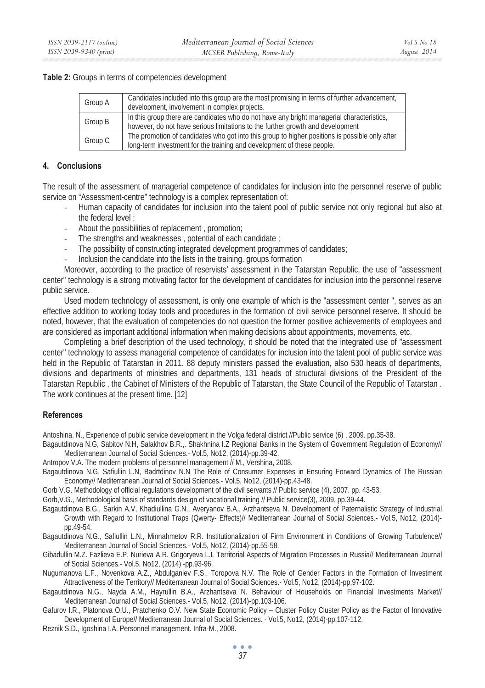#### **Table 2:** Groups in terms of competencies development

| Group A | Candidates included into this group are the most promising in terms of further advancement,<br>development, involvement in complex projects.                                |
|---------|-----------------------------------------------------------------------------------------------------------------------------------------------------------------------------|
| Group B | In this group there are candidates who do not have any bright managerial characteristics,<br>however, do not have serious limitations to the further growth and development |
| Group C | The promotion of candidates who got into this group to higher positions is possible only after<br>long-term investment for the training and development of these people.    |

#### **4. Conclusions**

The result of the assessment of managerial competence of candidates for inclusion into the personnel reserve of public service on "Assessment-centre" technology is a complex representation of:

- Human capacity of candidates for inclusion into the talent pool of public service not only regional but also at the federal level ;
- About the possibilities of replacement , promotion;
- The strengths and weaknesses, potential of each candidate;
- The possibility of constructing integrated development programmes of candidates;
- Inclusion the candidate into the lists in the training. groups formation

Moreover, according to the practice of reservists' assessment in the Tatarstan Republic, the use of "assessment center" technology is a strong motivating factor for the development of candidates for inclusion into the personnel reserve public service.

Used modern technology of assessment, is only one example of which is the "assessment center ", serves as an effective addition to working today tools and procedures in the formation of civil service personnel reserve. It should be noted, however, that the evaluation of competencies do not question the former positive achievements of employees and are considered as important additional information when making decisions about appointments, movements, etc.

Completing a brief description of the used technology, it should be noted that the integrated use of "assessment center" technology to assess managerial competence of candidates for inclusion into the talent pool of public service was held in the Republic of Tatarstan in 2011. 88 deputy ministers passed the evaluation, also 530 heads of departments, divisions and departments of ministries and departments, 131 heads of structural divisions of the President of the Tatarstan Republic , the Cabinet of Ministers of the Republic of Tatarstan, the State Council of the Republic of Tatarstan . The work continues at the present time. [12]

### **References**

Antoshina. N., Experience of public service development in the Volga federal district //Public service (6) , 2009. pp.35-38.

- Bagautdinova N.G, Sabitov N.H, Salakhov B.R.,. Shakhnina I.Z Regional Banks in the System of Government Regulation of Economy// Mediterranean Journal of Social Sciences.- Vol.5, No12, (2014)-pp.39-42.
- Antropov V.A. The modern problems of personnel management // M., Vershina, 2008.
- Bagautdinova N.G, Safiullin L.N, Badrtdinov N.N The Role of Consumer Expenses in Ensuring Forward Dynamics of The Russian Economy// Mediterranean Journal of Social Sciences.- Vol.5, No12, (2014)-pp.43-48.
- Gorb V.G. Methodology of official regulations development of the civil servants // Public service (4), 2007. pp. 43-53.
- Gorb,V.G., Methodological basis of standards design of vocational training // Public service(3), 2009, pp.39-44.
- Bagautdinova B.G., Sarkin A.V, Khadiullina G.N., Averyanov B.A., Arzhantseva N. Development of Paternalistic Strategy of Industrial Growth with Regard to Institutional Traps (Qwerty- Effects)// Mediterranean Journal of Social Sciences.- Vol.5, No12, (2014) pp.49-54.
- Bagautdinova N.G., Safiullin L.N., Minnahmetov R.R. Institutionalization of Firm Environment in Conditions of Growing Turbulence// Mediterranean Journal of Social Sciences.- Vol.5, No12, (2014)-pp.55-58.
- Gibadullin M.Z. Fazlieva E.P. Nurieva A.R. Grigoryeva L.L Territorial Aspects of Migration Processes in Russia// Mediterranean Journal of Social Sciences.- Vol.5, No12, (2014) -pp.93-96.
- Nugumanova L.F., Novenkova A.Z., Abdulganiev F.S., Toropova N.V. The Role of Gender Factors in the Formation of Investment Attractiveness of the Territory// Mediterranean Journal of Social Sciences.- Vol.5, No12, (2014)-pp.97-102.
- Bagautdinova N.G., Nayda A.M., Hayrullin B.A., Arzhantseva N. Behaviour of Households on Financial Investments Market// Mediterranean Journal of Social Sciences.- Vol.5, No12, (2014)-pp.103-106.
- Gafurov I.R., Platonova O.U., Pratchenko O.V. New State Economic Policy Cluster Policy Cluster Policy as the Factor of Innovative Development of Europe// Mediterranean Journal of Social Sciences. - Vol.5, No12, (2014)-pp.107-112.
- Reznik S.D., Igoshina I.A. Personnel management. Infra-M., 2008.